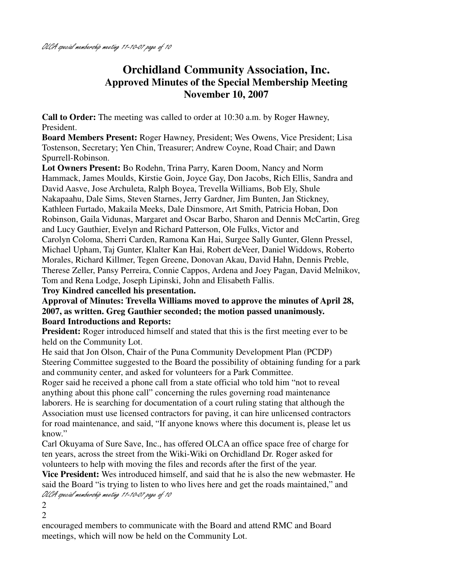# **Orchidland Community Association, Inc. Approved Minutes of the Special Membership Meeting November 10, 2007**

**Call to Order:** The meeting was called to order at 10:30 a.m. by Roger Hawney, President.

**Board Members Present:** Roger Hawney, President; Wes Owens, Vice President; Lisa Tostenson, Secretary; Yen Chin, Treasurer; Andrew Coyne, Road Chair; and Dawn Spurrell-Robinson.

**Lot Owners Present:** Bo Rodehn, Trina Parry, Karen Doom, Nancy and Norm Hammack, James Moulds, Kirstie Goin, Joyce Gay, Don Jacobs, Rich Ellis, Sandra and David Aasve, Jose Archuleta, Ralph Boyea, Trevella Williams, Bob Ely, Shule Nakapaahu, Dale Sims, Steven Starnes, Jerry Gardner, Jim Bunten, Jan Stickney, Kathleen Furtado, Makaila Meeks, Dale Dinsmore, Art Smith, Patricia Hoban, Don Robinson, Gaila Vidunas, Margaret and Oscar Barbo, Sharon and Dennis McCartin, Greg and Lucy Gauthier, Evelyn and Richard Patterson, Ole Fulks, Victor and Carolyn Coloma, Sherri Carden, Ramona Kan Hai, Surgee Sally Gunter, Glenn Pressel, Michael Upham, Taj Gunter, Klalter Kan Hai, Robert deVeer, Daniel Widdows, Roberto Morales, Richard Killmer, Tegen Greene, Donovan Akau, David Hahn, Dennis Preble, Therese Zeller, Pansy Perreira, Connie Cappos, Ardena and Joey Pagan, David Melnikov, Tom and Rena Lodge, Joseph Lipinski, John and Elisabeth Fallis.

**Troy Kindred cancelled his presentation.** 

**Approval of Minutes: Trevella Williams moved to approve the minutes of April 28, 2007, as written. Greg Gauthier seconded; the motion passed unanimously. Board Introductions and Reports:** 

**President:** Roger introduced himself and stated that this is the first meeting ever to be held on the Community Lot.

He said that Jon Olson, Chair of the Puna Community Development Plan (PCDP) Steering Committee suggested to the Board the possibility of obtaining funding for a park and community center, and asked for volunteers for a Park Committee.

Roger said he received a phone call from a state official who told him "not to reveal anything about this phone call" concerning the rules governing road maintenance laborers. He is searching for documentation of a court ruling stating that although the Association must use licensed contractors for paving, it can hire unlicensed contractors for road maintenance, and said, "If anyone knows where this document is, please let us know."

Carl Okuyama of Sure Save, Inc., has offered OLCA an office space free of charge for ten years, across the street from the Wiki-Wiki on Orchidland Dr. Roger asked for volunteers to help with moving the files and records after the first of the year.

**Vice President:** Wes introduced himself, and said that he is also the new webmaster. He said the Board "is trying to listen to who lives here and get the roads maintained," and OLCA special membership meeting 11-10-07 page of 10

2

2

encouraged members to communicate with the Board and attend RMC and Board meetings, which will now be held on the Community Lot.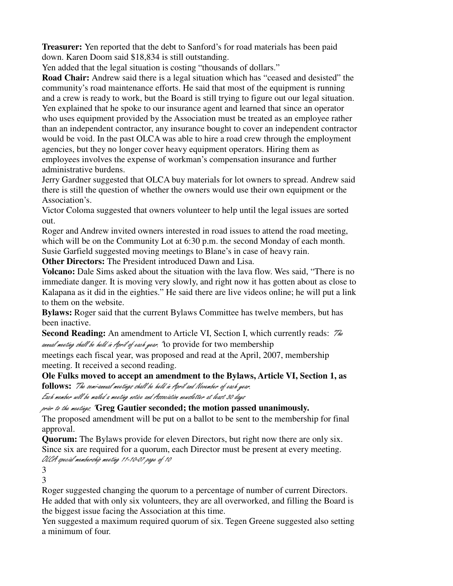**Treasurer:** Yen reported that the debt to Sanford's for road materials has been paid down. Karen Doom said \$18,834 is still outstanding.

Yen added that the legal situation is costing "thousands of dollars."

**Road Chair:** Andrew said there is a legal situation which has "ceased and desisted" the community's road maintenance efforts. He said that most of the equipment is running and a crew is ready to work, but the Board is still trying to figure out our legal situation. Yen explained that he spoke to our insurance agent and learned that since an operator who uses equipment provided by the Association must be treated as an employee rather than an independent contractor, any insurance bought to cover an independent contractor would be void. In the past OLCA was able to hire a road crew through the employment agencies, but they no longer cover heavy equipment operators. Hiring them as employees involves the expense of workman's compensation insurance and further administrative burdens.

Jerry Gardner suggested that OLCA buy materials for lot owners to spread. Andrew said there is still the question of whether the owners would use their own equipment or the Association's.

Victor Coloma suggested that owners volunteer to help until the legal issues are sorted out.

Roger and Andrew invited owners interested in road issues to attend the road meeting, which will be on the Community Lot at 6:30 p.m. the second Monday of each month. Susie Garfield suggested moving meetings to Blane's in case of heavy rain.

**Other Directors:** The President introduced Dawn and Lisa.

**Volcano:** Dale Sims asked about the situation with the lava flow. Wes said, "There is no immediate danger. It is moving very slowly, and right now it has gotten about as close to Kalapana as it did in the eighties." He said there are live videos online; he will put a link to them on the website.

**Bylaws:** Roger said that the current Bylaws Committee has twelve members, but has been inactive.

**Second Reading:** An amendment to Article VI, Section I, which currently reads:  $\mathbb{Z}$ annual meeting shall be held in April of each year. "to provide for two membership

meetings each fiscal year, was proposed and read at the April, 2007, membership meeting. It received a second reading.

**Ole Fulks moved to accept an amendment to the Bylaws, Article VI, Section 1, as follows:** "The semi-annual meetings shall be held in April and November of each year.

Each member will be mailed a meeting notice and Association newsletter at least 30 days

prior to the meetings." **Greg Gautier seconded; the motion passed unanimously.** 

The proposed amendment will be put on a ballot to be sent to the membership for final approval.

**Quorum:** The Bylaws provide for eleven Directors, but right now there are only six. Since six are required for a quorum, each Director must be present at every meeting. OLCA special membership meeting 11-10-07 page of 10

3

3

Roger suggested changing the quorum to a percentage of number of current Directors. He added that with only six volunteers, they are all overworked, and filling the Board is the biggest issue facing the Association at this time.

Yen suggested a maximum required quorum of six. Tegen Greene suggested also setting a minimum of four.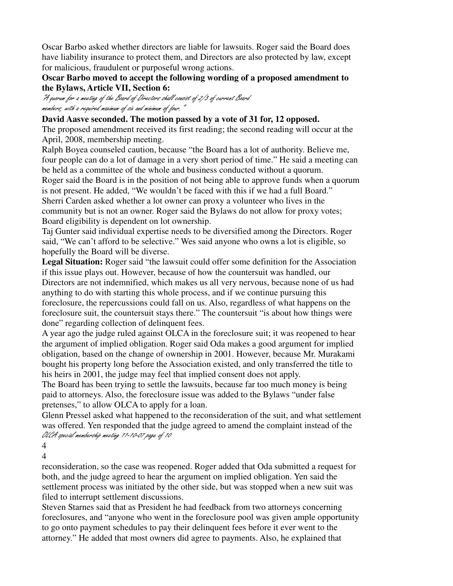Oscar Barbo asked whether directors are liable for lawsuits. Roger said the Board does have liability insurance to protect them, and Directors are also protected by law, except for malicious, fraudulent or purposeful wrong actions.

## **Oscar Barbo moved to accept the following wording of a proposed amendment to the Bylaws, Article VII, Section 6:**

"A quorum for a meeting of the Board of Directors shall consist of 2/3 of current Board members, with a required maximum of six and minimum of four."

#### **David Aasve seconded. The motion passed by a vote of 31 for, 12 opposed.**

The proposed amendment received its first reading; the second reading will occur at the April, 2008, membership meeting.

Ralph Boyea counseled caution, because "the Board has a lot of authority. Believe me, four people can do a lot of damage in a very short period of time." He said a meeting can be held as a committee of the whole and business conducted without a quorum. Roger said the Board is in the position of not being able to approve funds when a quorum is not present. He added, "We wouldn't be faced with this if we had a full Board." Sherri Carden asked whether a lot owner can proxy a volunteer who lives in the community but is not an owner. Roger said the Bylaws do not allow for proxy votes; Board eligibility is dependent on lot ownership.

Taj Gunter said individual expertise needs to be diversified among the Directors. Roger said, "We can't afford to be selective." Wes said anyone who owns a lot is eligible, so hopefully the Board will be diverse.

**Legal Situation:** Roger said "the lawsuit could offer some definition for the Association if this issue plays out. However, because of how the countersuit was handled, our Directors are not indemnified, which makes us all very nervous, because none of us had anything to do with starting this whole process, and if we continue pursuing this foreclosure, the repercussions could fall on us. Also, regardless of what happens on the foreclosure suit, the countersuit stays there." The countersuit "is about how things were done" regarding collection of delinquent fees.

A year ago the judge ruled against OLCA in the foreclosure suit; it was reopened to hear the argument of implied obligation. Roger said Oda makes a good argument for implied obligation, based on the change of ownership in 2001. However, because Mr. Murakami bought his property long before the Association existed, and only transferred the title to his heirs in 2001, the judge may feel that implied consent does not apply.

The Board has been trying to settle the lawsuits, because far too much money is being paid to attorneys. Also, the foreclosure issue was added to the Bylaws "under false pretenses," to allow OLCA to apply for a loan.

Glenn Pressel asked what happened to the reconsideration of the suit, and what settlement was offered. Yen responded that the judge agreed to amend the complaint instead of the OLCA special membership meeting 11-10-07 page of 10

4 4

reconsideration, so the case was reopened. Roger added that Oda submitted a request for both, and the judge agreed to hear the argument on implied obligation. Yen said the settlement process was initiated by the other side, but was stopped when a new suit was filed to interrupt settlement discussions.

Steven Starnes said that as President he had feedback from two attorneys concerning foreclosures, and "anyone who went in the foreclosure pool was given ample opportunity to go onto payment schedules to pay their delinquent fees before it ever went to the attorney." He added that most owners did agree to payments. Also, he explained that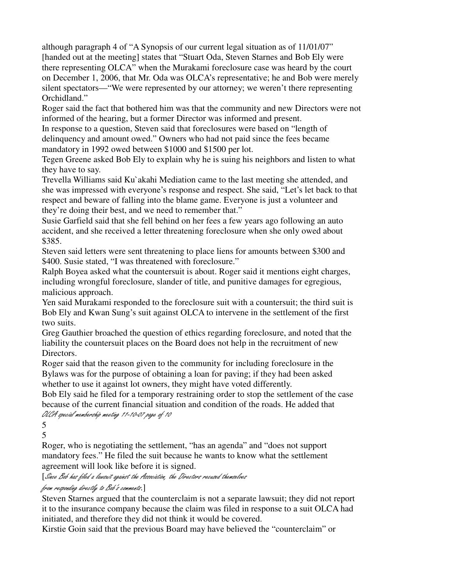although paragraph 4 of "A Synopsis of our current legal situation as of 11/01/07" [handed out at the meeting] states that "Stuart Oda, Steven Starnes and Bob Ely were there representing OLCA" when the Murakami foreclosure case was heard by the court on December 1, 2006, that Mr. Oda was OLCA's representative; he and Bob were merely silent spectators—"We were represented by our attorney; we weren't there representing Orchidland."

Roger said the fact that bothered him was that the community and new Directors were not informed of the hearing, but a former Director was informed and present.

In response to a question, Steven said that foreclosures were based on "length of delinquency and amount owed." Owners who had not paid since the fees became mandatory in 1992 owed between \$1000 and \$1500 per lot.

Tegen Greene asked Bob Ely to explain why he is suing his neighbors and listen to what they have to say.

Trevella Williams said Ku`akahi Mediation came to the last meeting she attended, and she was impressed with everyone's response and respect. She said, "Let's let back to that respect and beware of falling into the blame game. Everyone is just a volunteer and they're doing their best, and we need to remember that."

Susie Garfield said that she fell behind on her fees a few years ago following an auto accident, and she received a letter threatening foreclosure when she only owed about \$385.

Steven said letters were sent threatening to place liens for amounts between \$300 and \$400. Susie stated, "I was threatened with foreclosure."

Ralph Boyea asked what the countersuit is about. Roger said it mentions eight charges, including wrongful foreclosure, slander of title, and punitive damages for egregious, malicious approach.

Yen said Murakami responded to the foreclosure suit with a countersuit; the third suit is Bob Ely and Kwan Sung's suit against OLCA to intervene in the settlement of the first two suits.

Greg Gauthier broached the question of ethics regarding foreclosure, and noted that the liability the countersuit places on the Board does not help in the recruitment of new Directors.

Roger said that the reason given to the community for including foreclosure in the Bylaws was for the purpose of obtaining a loan for paving; if they had been asked whether to use it against lot owners, they might have voted differently.

Bob Ely said he filed for a temporary restraining order to stop the settlement of the case because of the current financial situation and condition of the roads. He added that OLCA special membership meeting 11-10-07 page of 10

5 5

Roger, who is negotiating the settlement, "has an agenda" and "does not support mandatory fees." He filed the suit because he wants to know what the settlement agreement will look like before it is signed.

[Since Bob has filed a lawsuit against the Association, the Directors recused themselves

from responding directly to Bob's comments.]

Steven Starnes argued that the counterclaim is not a separate lawsuit; they did not report it to the insurance company because the claim was filed in response to a suit OLCA had initiated, and therefore they did not think it would be covered.

Kirstie Goin said that the previous Board may have believed the "counterclaim" or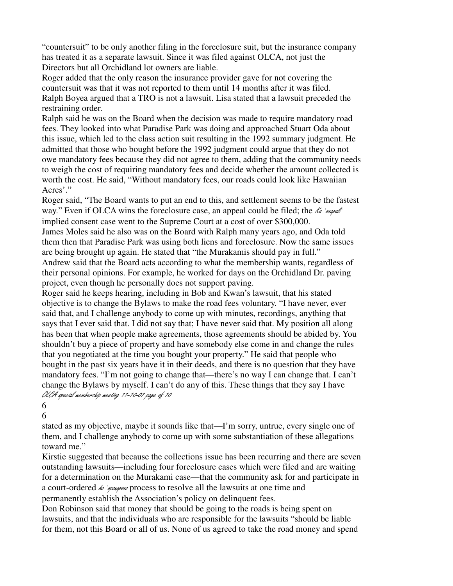"countersuit" to be only another filing in the foreclosure suit, but the insurance company has treated it as a separate lawsuit. Since it was filed against OLCA, not just the Directors but all Orchidland lot owners are liable.

Roger added that the only reason the insurance provider gave for not covering the countersuit was that it was not reported to them until 14 months after it was filed. Ralph Boyea argued that a TRO is not a lawsuit. Lisa stated that a lawsuit preceded the restraining order.

Ralph said he was on the Board when the decision was made to require mandatory road fees. They looked into what Paradise Park was doing and approached Stuart Oda about this issue, which led to the class action suit resulting in the 1992 summary judgment. He admitted that those who bought before the 1992 judgment could argue that they do not owe mandatory fees because they did not agree to them, adding that the community needs to weigh the cost of requiring mandatory fees and decide whether the amount collected is worth the cost. He said, "Without mandatory fees, our roads could look like Hawaiian Acres'."

Roger said, "The Board wants to put an end to this, and settlement seems to be the fastest way." Even if OLCA wins the foreclosure case, an appeal could be filed; the  $\ell$ a `angodh' implied consent case went to the Supreme Court at a cost of over \$300,000.

James Moles said he also was on the Board with Ralph many years ago, and Oda told them then that Paradise Park was using both liens and foreclosure. Now the same issues are being brought up again. He stated that "the Murakamis should pay in full."

Andrew said that the Board acts according to what the membership wants, regardless of their personal opinions. For example, he worked for days on the Orchidland Dr. paving project, even though he personally does not support paving.

Roger said he keeps hearing, including in Bob and Kwan's lawsuit, that his stated objective is to change the Bylaws to make the road fees voluntary. "I have never, ever said that, and I challenge anybody to come up with minutes, recordings, anything that says that I ever said that. I did not say that; I have never said that. My position all along has been that when people make agreements, those agreements should be abided by. You shouldn't buy a piece of property and have somebody else come in and change the rules that you negotiated at the time you bought your property." He said that people who bought in the past six years have it in their deeds, and there is no question that they have mandatory fees. "I'm not going to change that—there's no way I can change that. I can't change the Bylaws by myself. I can't do any of this. These things that they say I have OLCA special membership meeting 11-10-07 page of 10

## 6

6

stated as my objective, maybe it sounds like that—I'm sorry, untrue, every single one of them, and I challenge anybody to come up with some substantiation of these allegations toward me."

Kirstie suggested that because the collections issue has been recurring and there are seven outstanding lawsuits—including four foreclosure cases which were filed and are waiting for a determination on the Murakami case—that the community ask for and participate in a court-ordered  $\mathcal{L}$  integral process to resolve all the lawsuits at one time and permanently establish the Association's policy on delinquent fees.

Don Robinson said that money that should be going to the roads is being spent on lawsuits, and that the individuals who are responsible for the lawsuits "should be liable for them, not this Board or all of us. None of us agreed to take the road money and spend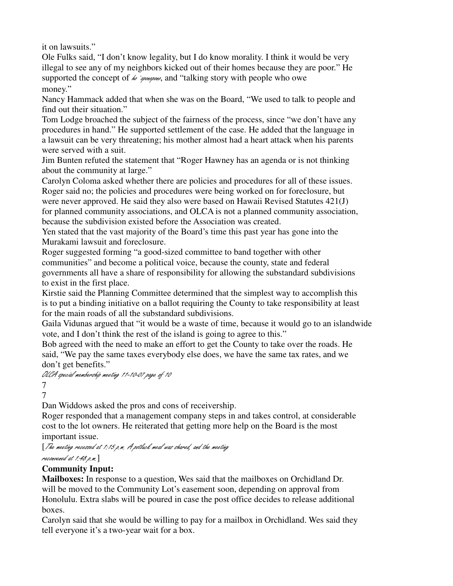it on lawsuits."

Ole Fulks said, "I don't know legality, but I do know morality. I think it would be very illegal to see any of my neighbors kicked out of their homes because they are poor." He supported the concept of  $\omega$  *innergono*, and "talking story with people who owe money."

Nancy Hammack added that when she was on the Board, "We used to talk to people and find out their situation."

Tom Lodge broached the subject of the fairness of the process, since "we don't have any procedures in hand." He supported settlement of the case. He added that the language in a lawsuit can be very threatening; his mother almost had a heart attack when his parents were served with a suit.

Jim Bunten refuted the statement that "Roger Hawney has an agenda or is not thinking about the community at large."

Carolyn Coloma asked whether there are policies and procedures for all of these issues. Roger said no; the policies and procedures were being worked on for foreclosure, but were never approved. He said they also were based on Hawaii Revised Statutes 421(J) for planned community associations, and OLCA is not a planned community association, because the subdivision existed before the Association was created.

Yen stated that the vast majority of the Board's time this past year has gone into the Murakami lawsuit and foreclosure.

Roger suggested forming "a good-sized committee to band together with other communities" and become a political voice, because the county, state and federal governments all have a share of responsibility for allowing the substandard subdivisions to exist in the first place.

Kirstie said the Planning Committee determined that the simplest way to accomplish this is to put a binding initiative on a ballot requiring the County to take responsibility at least for the main roads of all the substandard subdivisions.

Gaila Vidunas argued that "it would be a waste of time, because it would go to an islandwide vote, and I don't think the rest of the island is going to agree to this."

Bob agreed with the need to make an effort to get the County to take over the roads. He said, "We pay the same taxes everybody else does, we have the same tax rates, and we don't get benefits."

OLCA special membership meeting 11-10-07 page of 10

7

7

Dan Widdows asked the pros and cons of receivership.

Roger responded that a management company steps in and takes control, at considerable cost to the lot owners. He reiterated that getting more help on the Board is the most important issue.

[The meeting recessed at 1:15 p.m. A potluck meal was shared, and the meeting

```
reconvened at 1:48 p.m.]
```
# **Community Input:**

**Mailboxes:** In response to a question, Wes said that the mailboxes on Orchidland Dr. will be moved to the Community Lot's easement soon, depending on approval from Honolulu. Extra slabs will be poured in case the post office decides to release additional boxes.

Carolyn said that she would be willing to pay for a mailbox in Orchidland. Wes said they tell everyone it's a two-year wait for a box.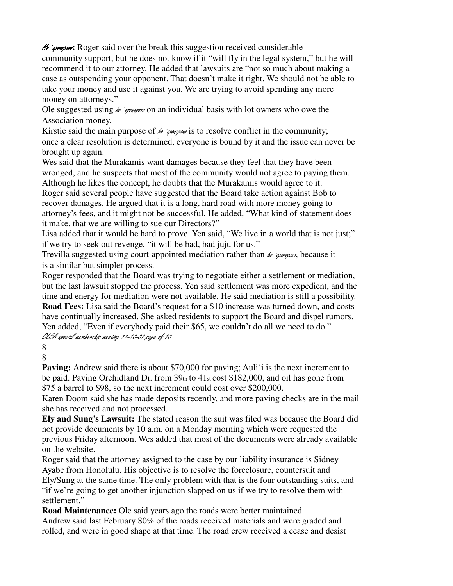Ho **igonopono**: Roger said over the break this suggestion received considerable

community support, but he does not know if it "will fly in the legal system," but he will recommend it to our attorney. He added that lawsuits are "not so much about making a case as outspending your opponent. That doesn't make it right. We should not be able to take your money and use it against you. We are trying to avoid spending any more money on attorneys."

Ole suggested using  $\omega$  *speraporo* on an individual basis with lot owners who owe the Association money.

Kirstie said the main purpose of  $\omega$  *innopono* is to resolve conflict in the community; once a clear resolution is determined, everyone is bound by it and the issue can never be brought up again.

Wes said that the Murakamis want damages because they feel that they have been wronged, and he suspects that most of the community would not agree to paying them. Although he likes the concept, he doubts that the Murakamis would agree to it. Roger said several people have suggested that the Board take action against Bob to recover damages. He argued that it is a long, hard road with more money going to

attorney's fees, and it might not be successful. He added, "What kind of statement does it make, that we are willing to sue our Directors?"

Lisa added that it would be hard to prove. Yen said, "We live in a world that is not just;" if we try to seek out revenge, "it will be bad, bad juju for us."

Trevilla suggested using court-appointed mediation rather than  $\omega$  *appropono*, because it is a similar but simpler process.

Roger responded that the Board was trying to negotiate either a settlement or mediation, but the last lawsuit stopped the process. Yen said settlement was more expedient, and the time and energy for mediation were not available. He said mediation is still a possibility. **Road Fees:** Lisa said the Board's request for a \$10 increase was turned down, and costs have continually increased. She asked residents to support the Board and dispel rumors. Yen added, "Even if everybody paid their \$65, we couldn't do all we need to do."

OLCA special membership meeting 11-10-07 page of 10

8 8

**Paving:** Andrew said there is about \$70,000 for paving; Auli<sup>t</sup> is the next increment to be paid. Paving Orchidland Dr. from 39th to 41st cost \$182,000, and oil has gone from \$75 a barrel to \$98, so the next increment could cost over \$200,000.

Karen Doom said she has made deposits recently, and more paving checks are in the mail she has received and not processed.

**Ely and Sung's Lawsuit:** The stated reason the suit was filed was because the Board did not provide documents by 10 a.m. on a Monday morning which were requested the previous Friday afternoon. Wes added that most of the documents were already available on the website.

Roger said that the attorney assigned to the case by our liability insurance is Sidney Ayabe from Honolulu. His objective is to resolve the foreclosure, countersuit and

Ely/Sung at the same time. The only problem with that is the four outstanding suits, and "if we're going to get another injunction slapped on us if we try to resolve them with settlement."

**Road Maintenance:** Ole said years ago the roads were better maintained. Andrew said last February 80% of the roads received materials and were graded and rolled, and were in good shape at that time. The road crew received a cease and desist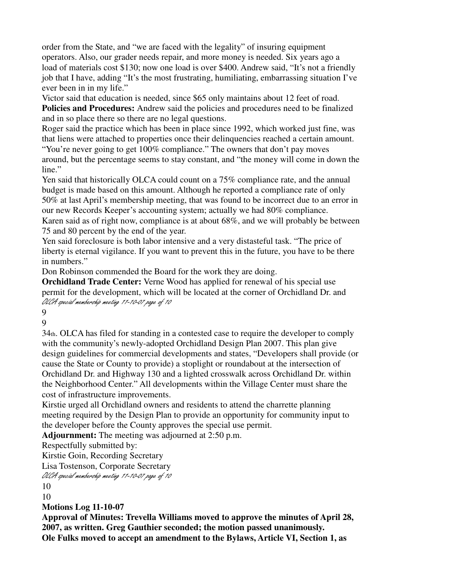order from the State, and "we are faced with the legality" of insuring equipment operators. Also, our grader needs repair, and more money is needed. Six years ago a load of materials cost \$130; now one load is over \$400. Andrew said, "It's not a friendly job that I have, adding "It's the most frustrating, humiliating, embarrassing situation I've ever been in in my life."

Victor said that education is needed, since \$65 only maintains about 12 feet of road. **Policies and Procedures:** Andrew said the policies and procedures need to be finalized and in so place there so there are no legal questions.

Roger said the practice which has been in place since 1992, which worked just fine, was that liens were attached to properties once their delinquencies reached a certain amount. "You're never going to get 100% compliance." The owners that don't pay moves

around, but the percentage seems to stay constant, and "the money will come in down the line."

Yen said that historically OLCA could count on a 75% compliance rate, and the annual budget is made based on this amount. Although he reported a compliance rate of only 50% at last April's membership meeting, that was found to be incorrect due to an error in our new Records Keeper's accounting system; actually we had 80% compliance.

Karen said as of right now, compliance is at about 68%, and we will probably be between 75 and 80 percent by the end of the year.

Yen said foreclosure is both labor intensive and a very distasteful task. "The price of liberty is eternal vigilance. If you want to prevent this in the future, you have to be there in numbers."

Don Robinson commended the Board for the work they are doing.

**Orchidland Trade Center:** Verne Wood has applied for renewal of his special use permit for the development, which will be located at the corner of Orchidland Dr. and OLCA special membership meeting 11-10-07 page of 10

9

9

34th. OLCA has filed for standing in a contested case to require the developer to comply with the community's newly-adopted Orchidland Design Plan 2007. This plan give design guidelines for commercial developments and states, "Developers shall provide (or cause the State or County to provide) a stoplight or roundabout at the intersection of Orchidland Dr. and Highway 130 and a lighted crosswalk across Orchidland Dr. within the Neighborhood Center." All developments within the Village Center must share the cost of infrastructure improvements.

Kirstie urged all Orchidland owners and residents to attend the charrette planning meeting required by the Design Plan to provide an opportunity for community input to the developer before the County approves the special use permit.

**Adjournment:** The meeting was adjourned at 2:50 p.m.

Respectfully submitted by:

Kirstie Goin, Recording Secretary

Lisa Tostenson, Corporate Secretary

OLCA special membership meeting 11-10-07 page of 10

10

10

**Motions Log 11-10-07** 

**Approval of Minutes: Trevella Williams moved to approve the minutes of April 28, 2007, as written. Greg Gauthier seconded; the motion passed unanimously. Ole Fulks moved to accept an amendment to the Bylaws, Article VI, Section 1, as**